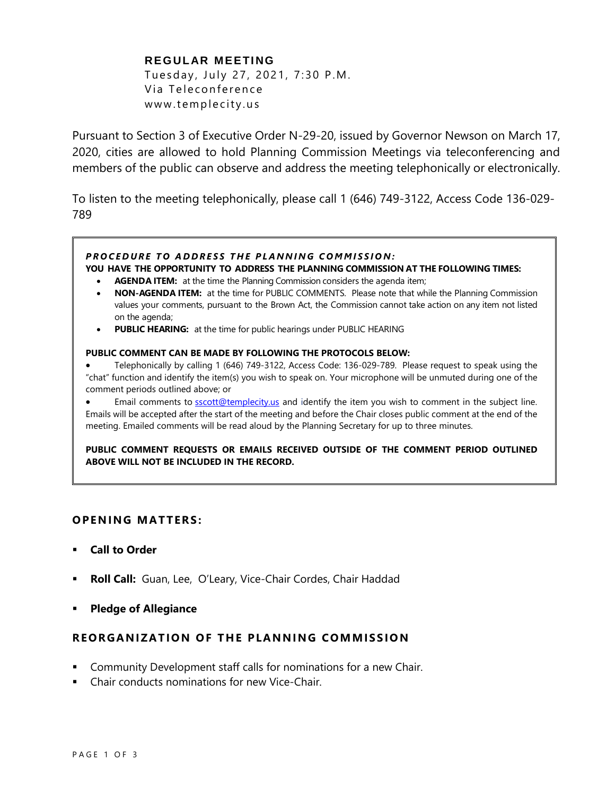# **REGULAR MEETING** Tuesday, July 27, 2021, 7:30 P.M. Via Teleconference www.templecity.us

Pursuant to Section 3 of Executive Order N-29-20, issued by Governor Newson on March 17, 2020, cities are allowed to hold Planning Commission Meetings via teleconferencing and members of the public can observe and address the meeting telephonically or electronically.

To listen to the meeting telephonically, please call 1 (646) 749-3122, Access Code 136-029- 789

## **PROCEDURE TO ADDRESS THE PLANNING COMMISSION:**

#### **YOU HAVE THE OPPORTUNITY TO ADDRESS THE PLANNING COMMISSION AT THE FOLLOWING TIMES:**

- **AGENDA ITEM:** at the time the Planning Commission considers the agenda item;
- **NON-AGENDA ITEM:** at the time for PUBLIC COMMENTS. Please note that while the Planning Commission values your comments, pursuant to the Brown Act, the Commission cannot take action on any item not listed on the agenda;
- **PUBLIC HEARING:** at the time for public hearings under PUBLIC HEARING

#### **PUBLIC COMMENT CAN BE MADE BY FOLLOWING THE PROTOCOLS BELOW:**

- Telephonically by calling 1 (646) 749-3122, Access Code: 136-029-789. Please request to speak using the "chat" function and identify the item(s) you wish to speak on. Your microphone will be unmuted during one of the comment periods outlined above; or
- Email comments to **[sscott@templecity.us](mailto:sscott@templecity.us)** and identify the item you wish to comment in the subject line. Emails will be accepted after the start of the meeting and before the Chair closes public comment at the end of the meeting. Emailed comments will be read aloud by the Planning Secretary for up to three minutes.

**PUBLIC COMMENT REQUESTS OR EMAILS RECEIVED OUTSIDE OF THE COMMENT PERIOD OUTLINED ABOVE WILL NOT BE INCLUDED IN THE RECORD.**

## **OPEN ING MAT TERS :**

- **Call to Order**
- **Roll Call:** Guan, Lee, O'Leary, Vice-Chair Cordes, Chair Haddad
- **Pledge of Allegiance**

## **R EOR GANIZAT ION OF T HE PLANNING COM MISS ION**

- Community Development staff calls for nominations for a new Chair.
- Chair conducts nominations for new Vice-Chair.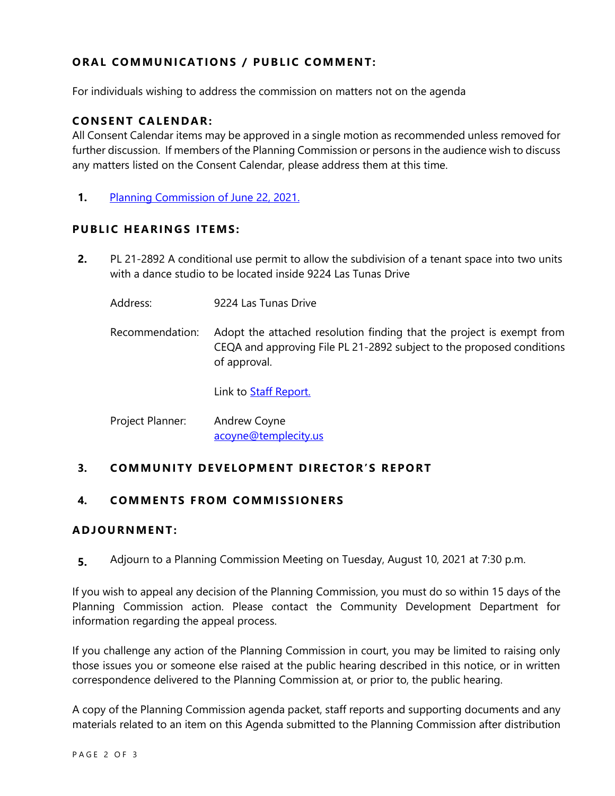# **ORAL COMMUNICATIONS / PUBLIC COMMENT:**

For individuals wishing to address the commission on matters not on the agenda

## **CONSENT CA LENDAR:**

All Consent Calendar items may be approved in a single motion as recommended unless removed for further discussion. If members of the Planning Commission or persons in the audience wish to discuss any matters listed on the Consent Calendar, please address them at this time.

**1.** [Planning Commission](https://www.ci.temple-city.ca.us/DocumentCenter/View/16563/PCM-6-22-minutes) of June 22, 2021.

# **PUBLIC HEARINGS ITEMS:**

- **2.** PL 21-2892 A conditional use permit to allow the subdivision of a tenant space into two units with a dance studio to be located inside 9224 Las Tunas Drive
	- Address: 9224 Las Tunas Drive Recommendation: Adopt the attached resolution finding that the project is exempt from CEQA and approving File PL 21-2892 subject to the proposed conditions of approval.

Link to **Staff Report.** 

| Project Planner: | Andrew Coyne         |
|------------------|----------------------|
|                  | acoyne@templecity.us |

# **3. COMMUNITY DEVELOPMENT DIRECTOR'S REPORT**

# **4. COMMEN TS F ROM COMM ISSIONE RS**

## **ADJOU RNMENT:**

**5.** Adjourn to a Planning Commission Meeting on Tuesday, August 10, 2021 at 7:30 p.m.

If you wish to appeal any decision of the Planning Commission, you must do so within 15 days of the Planning Commission action. Please contact the Community Development Department for information regarding the appeal process.

If you challenge any action of the Planning Commission in court, you may be limited to raising only those issues you or someone else raised at the public hearing described in this notice, or in written correspondence delivered to the Planning Commission at, or prior to, the public hearing.

A copy of the Planning Commission agenda packet, staff reports and supporting documents and any materials related to an item on this Agenda submitted to the Planning Commission after distribution